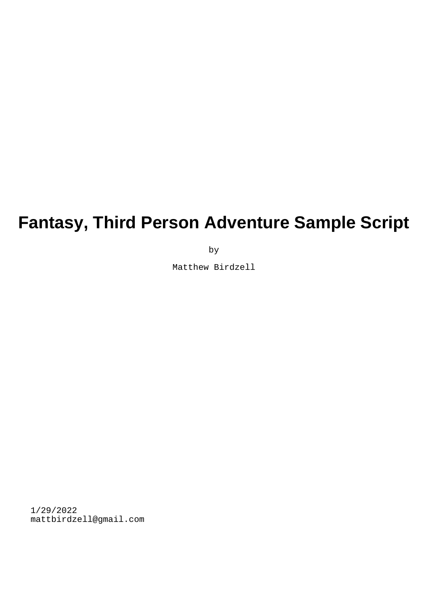# **Fantasy, Third Person Adventure Sample Script**

by

Matthew Birdzell

1/29/2022 mattbirdzell@gmail.com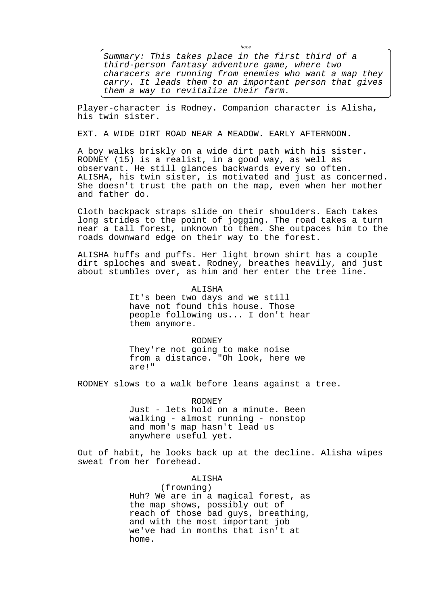Summary: This takes place in the first third of a third-person fantasy adventure game, where two characers are running from enemies who want a map they carry. It leads them to an important person that gives them a way to revitalize their farm.

 $M \cap f \subset$ 

Player-character is Rodney. Companion character is Alisha, his twin sister.

EXT. A WIDE DIRT ROAD NEAR A MEADOW. EARLY AFTERNOON.

A boy walks briskly on a wide dirt path with his sister. RODNEY (15) is a realist, in a good way, as well as observant. He still glances backwards every so often. ALISHA, his twin sister, is motivated and just as concerned. She doesn't trust the path on the map, even when her mother and father do.

Cloth backpack straps slide on their shoulders. Each takes long strides to the point of jogging. The road takes a turn near a tall forest, unknown to them. She outpaces him to the roads downward edge on their way to the forest.

ALISHA huffs and puffs. Her light brown shirt has a couple dirt sploches and sweat. Rodney, breathes heavily, and just about stumbles over, as him and her enter the tree line.

> ALISHA It's been two days and we still have not found this house. Those people following us... I don't hear

> > RODNEY

them anymore.

They're not going to make noise from a distance. "Oh look, here we are!"

RODNEY slows to a walk before leans against a tree.

RODNEY

Just - lets hold on a minute. Been walking - almost running - nonstop and mom's map hasn't lead us anywhere useful yet.

Out of habit, he looks back up at the decline. Alisha wipes sweat from her forehead.

ALISHA

(frowning) Huh? We are in a magical forest, as the map shows, possibly out of reach of those bad guys, breathing, and with the most important job we've had in months that isn't at home.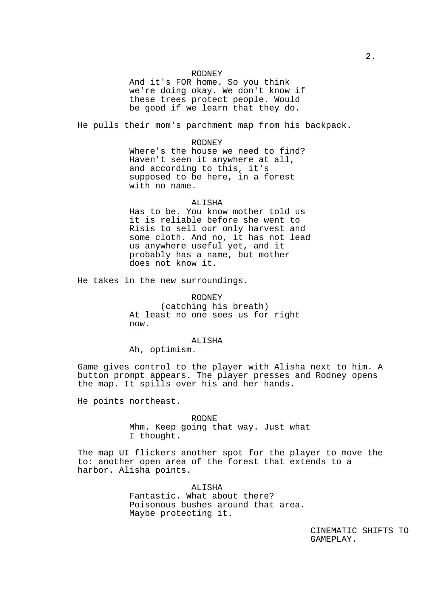### RODNEY

And it's FOR home. So you think we're doing okay. We don't know if these trees protect people. Would be good if we learn that they do.

He pulls their mom's parchment map from his backpack.

## RODNEY Where's the house we need to find? Haven't seen it anywhere at all, and according to this, it's supposed to be here, in a forest with no name.

#### ALISHA

Has to be. You know mother told us it is reliable before she went to Risis to sell our only harvest and some cloth. And no, it has not lead us anywhere useful yet, and it probably has a name, but mother does not know it.

He takes in the new surroundings.

RODNEY (catching his breath) At least no one sees us for right now.

#### ALISHA

Ah, optimism.

Game gives control to the player with Alisha next to him. A button prompt appears. The player presses and Rodney opens the map. It spills over his and her hands.

He points northeast.

RODNE Mhm. Keep going that way. Just what I thought.

The map UI flickers another spot for the player to move the to: another open area of the forest that extends to a harbor. Alisha points.

> ALISHA Fantastic. What about there? Poisonous bushes around that area. Maybe protecting it.

> > CINEMATIC SHIFTS TO GAMEPLAY.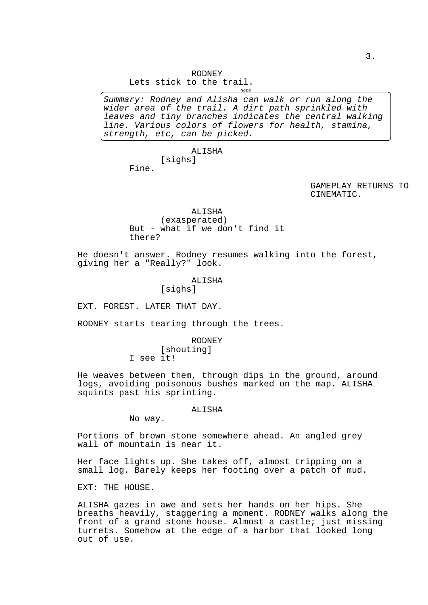RODNEY

Lets stick to the trail.  $M \cap f \neq$ 

Summary: Rodney and Alisha can walk or run along the wider area of the trail. A dirt path sprinkled with leaves and tiny branches indicates the central walking line. Various colors of flowers for health, stamina, strength, etc, can be picked.

> ALISHA [sighs]

Fine.

GAMEPLAY RETURNS TO CINEMATIC.

ALISHA

(exasperated) But - what if we don't find it there?

He doesn't answer. Rodney resumes walking into the forest, giving her a "Really?" look.

ALISHA

[sighs]

EXT. FOREST. LATER THAT DAY.

RODNEY starts tearing through the trees.

RODNEY [shouting] I see it!

He weaves between them, through dips in the ground, around logs, avoiding poisonous bushes marked on the map. ALISHA squints past his sprinting.

#### ALISHA

No way.

Portions of brown stone somewhere ahead. An angled grey wall of mountain is near it.

Her face lights up. She takes off, almost tripping on a small log. Barely keeps her footing over a patch of mud.

EXT: THE HOUSE.

ALISHA gazes in awe and sets her hands on her hips. She breaths heavily, staggering a moment. RODNEY walks along the front of a grand stone house. Almost a castle; just missing turrets. Somehow at the edge of a harbor that looked long out of use.